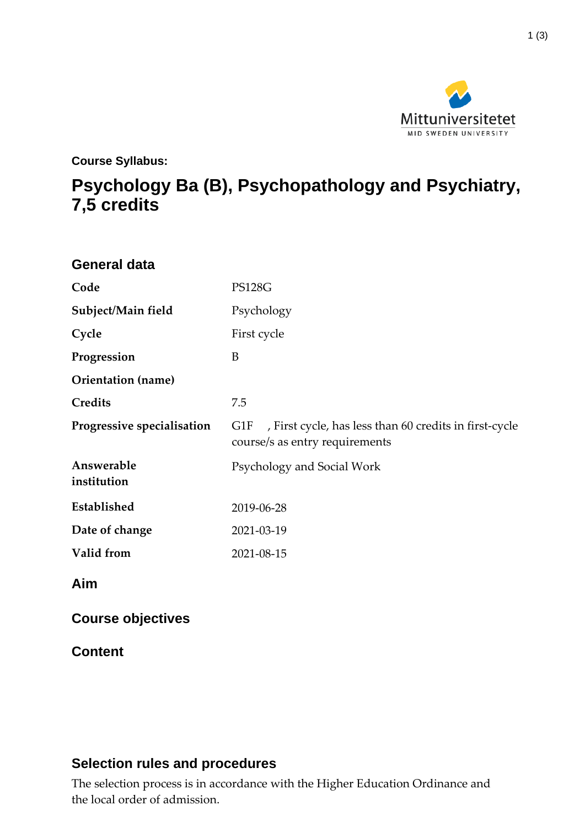

**Course Syllabus:**

# **Psychology Ba (B), Psychopathology and Psychiatry, 7,5 credits**

| <b>General data</b>        |                                                                                                 |
|----------------------------|-------------------------------------------------------------------------------------------------|
| Code                       | <b>PS128G</b>                                                                                   |
| Subject/Main field         | Psychology                                                                                      |
| Cycle                      | First cycle                                                                                     |
| Progression                | B                                                                                               |
| <b>Orientation</b> (name)  |                                                                                                 |
| Credits                    | 7.5                                                                                             |
| Progressive specialisation | , First cycle, has less than 60 credits in first-cycle<br>G1F<br>course/s as entry requirements |
| Answerable<br>institution  | Psychology and Social Work                                                                      |
| Established                | 2019-06-28                                                                                      |
| Date of change             | 2021-03-19                                                                                      |
| Valid from                 | 2021-08-15                                                                                      |
| Aim                        |                                                                                                 |
| <b>Course objectives</b>   |                                                                                                 |
| <b>Content</b>             |                                                                                                 |

#### **Selection rules and procedures**

The selection process is in accordance with the Higher Education Ordinance and the local order of admission.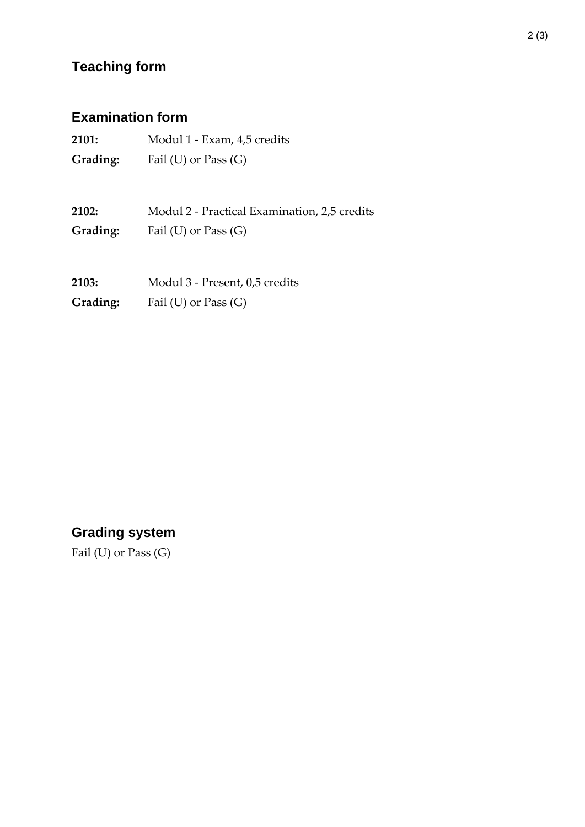## **Teaching form**

### **Examination form**

| 2101:    | Modul 1 - Exam, 4,5 credits |
|----------|-----------------------------|
| Grading: | Fail $(U)$ or Pass $(G)$    |

**2102:** Modul 2 - Practical Examination, 2,5 credits **Grading:** Fail (U) or Pass (G)

**2103:** Modul 3 - Present, 0,5 credits **Grading:** Fail (U) or Pass (G)

### **Grading system**

Fail (U) or Pass (G)